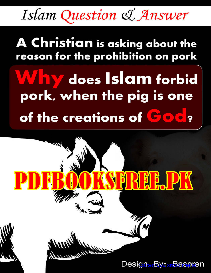Islam Question & Answer

## A Christian is asking about the reason for the prohibition on pork

# Why does Islam forbid pork, when the pig is one of the creations of God?

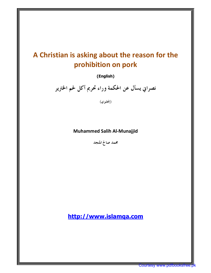### **A Christian is asking about the reason for the prohibition on pork**

**(English)** 

 **نصراني يسأل عن الحكمة وراء تحريم أكل لحم الخترير**

**ي( )إنجليز**

#### **Muhammed Salih Al-Munajjid**

 **محمد صالح المنجد**

**<http://www.islamqa.com>**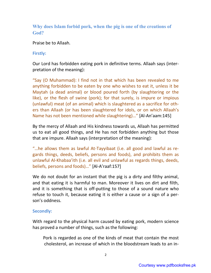#### **Why does Islam forbid pork, when the pig is one of the creations of God?**

Praise be to Allaah.

#### **Firstly:**

Our Lord has forbidden eating pork in definitive terms. Allaah says (interpretation of the meaning):

"Say (O Muhammad): I find not in that which has been revealed to me anything forbidden to be eaten by one who wishes to eat it, unless it be Maytah (a dead animal) or blood poured forth (by slaughtering or the like), or the flesh of swine (pork); for that surely, is impure or impious (unlawful) meat (of an animal) which is slaughtered as a sacrifice for others than Allaah (or has been slaughtered for idols, or on which Allaah's Name has not been mentioned while slaughtering)…" [Al-An'aam:145]

By the mercy of Allaah and His kindness towards us, Allaah has permitted us to eat all good things, and He has not forbidden anything but those that are impure. Allaah says (interpretation of the meaning):

"…he allows them as lawful At-Tayyibaat (i.e. all good and lawful as regards things, deeds, beliefs, persons and foods), and prohibits them as unlawful Al-Khabaa'ith (i.e. all evil and unlawful as regards things, deeds, beliefs, persons and foods)…" [Al-A'raaf:157]

We do not doubt for an instant that the pig is a dirty and filthy animal, and that eating it is harmful to man. Moreover it lives on dirt and filth, and it is something that is off-putting to those of a sound nature who refuse to touch it, because eating it is either a cause or a sign of a person's oddness.

#### **Secondly:**

With regard to the physical harm caused by eating pork, modern science has proved a number of things, such as the following:

Pork is regarded as one of the kinds of meat that contain the most cholesterol, an increase of which in the bloodstream leads to an in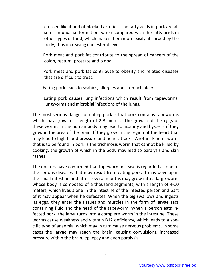creased likelihood of blocked arteries. The fatty acids in pork are also of an unusual formation, when compared with the fatty acids in other types of food, which makes them more easily absorbed by the body, thus increasing cholesterol levels.

Pork meat and pork fat contribute to the spread of cancers of the colon, rectum, prostate and blood.

Pork meat and pork fat contribute to obesity and related diseases that are difficult to treat.

Eating pork leads to scabies, allergies and stomach ulcers.

Eating pork causes lung infections which result from tapeworms, lungworms and microbial infections of the lungs.

The most serious danger of eating pork is that pork contains tapeworms which may grow to a length of 2-3 meters. The growth of the eggs of these worms in the human body may lead to insanity and hysteria if they grow in the area of the brain. If they grow in the region of the heart that may lead to high blood pressure and heart attacks. Another kind of worm that is to be found in pork is the trichinosis worm that cannot be killed by cooking, the growth of which in the body may lead to paralysis and skin rashes.

The doctors have confirmed that tapeworm disease is regarded as one of the serious diseases that may result from eating pork. It may develop in the small intestine and after several months may grow into a large worm whose body is composed of a thousand segments, with a length of 4-10 meters, which lives alone in the intestine of the infected person and part of it may appear when he defecates. When the pig swallows and ingests its eggs, they enter the tissues and muscles in the form of larvae sacs containing fluid and the head of the tapeworm. When a person eats infected pork, the larva turns into a complete worm in the intestine. These worms cause weakness and vitamin B12 deficiency, which leads to a specific type of anaemia, which may in turn cause nervous problems. In some cases the larvae may reach the brain, causing convulsions, increased pressure within the brain, epilepsy and even paralysis.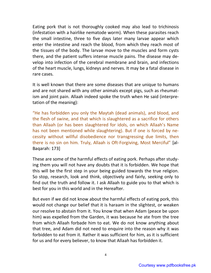Eating pork that is not thoroughly cooked may also lead to trichinosis (infestation with a hairlike nematode worm). When these parasites reach the small intestine, three to five days later many larvae appear which enter the intestine and reach the blood, from which they reach most of the tissues of the body. The larvae move to the muscles and form cysts there, and the patient suffers intense muscle pains. The disease may develop into infection of the cerebral membrane and brain, and infections of the heart muscle, lungs, kidneys and nerves. It may be a fatal disease in rare cases.

It is well known that there are some diseases that are unique to humans and are not shared with any other animals except pigs, such as rheumatism and joint pain. Allaah indeed spoke the truth when He said (interpretation of the meaning):

"He has forbidden you only the Maytah (dead animals), and blood, and the flesh of swine, and that which is slaughtered as a sacrifice for others than Allaah (or has been slaughtered for idols, on which Allaah's Name has not been mentioned while slaughtering). But if one is forced by necessity without willful disobedience nor transgressing due limits, then there is no sin on him. Truly, Allaah is Oft-Forgiving, Most Merciful" [al-Baqarah: 173]

These are some of the harmful effects of eating pork. Perhaps after studying them you will not have any doubts that it is forbidden. We hope that this will be the first step in your being guided towards the true religion. So stop, research, look and think, objectively and fairly, seeking only to find out the truth and follow it. I ask Allaah to guide you to that which is best for you in this world and in the Hereafter.

But even if we did not know about the harmful effects of eating pork, this would not change our belief that it is haraam in the slightest, or weaken our resolve to abstain from it. You know that when Adam (peace be upon him) was expelled from the Garden, it was because he ate from the tree from which Allaah forbade him to eat. We do not know anything about that tree, and Adam did not need to enquire into the reason why it was forbidden to eat from it. Rather it was sufficient for him, as it is sufficient for us and for every believer, to know that Allaah has forbidden it.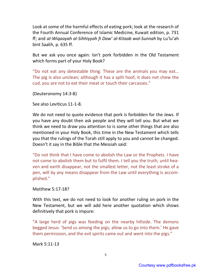Look at some of the harmful effects of eating pork; look at the research of the Fourth Annual Conference of Islamic Medicine, Kuwait edition, p. 731 ff; and *al-Wiqaayah al-Sihhiyyah fi Daw' al-Kitaab wal-Sunnah* by Lu'lu'ah bint Saalih, p. 635 ff.

But we ask you once again: Isn't pork forbidden in the Old Testament which forms part of your Holy Book?

"Do not eat any detestable thing. These are the animals you may eat… The pig is also unclean; although it has a split hoof, it does not chew the cud, you are not to eat their meat or touch their carcasses."

(Deuteronomy 14:3-8)

See also Leviticus 11-1-8.

We do not need to quote evidence that pork is forbidden for the Jews. If you have any doubt then ask people and they will tell you. But what we think we need to draw you attention to is some other things that are also mentioned in your Holy Book, this time in the New Testament which tells you that the rulings of the Torah still apply to you and cannot be changed. Doesn't it say in the Bible that the Messiah said:

"Do not think that I have come to abolish the Law or the Prophets. I have not come to abolish them but to fulfil them. I tell you the truth, until heaven and earth disappear, not the smallest letter, not the least stroke of a pen, will by any means disappear from the Law until everything is accomplished."

Matthew 5:17-18?

With this text, we do not need to look for another ruling on pork in the New Testament, but we will add here another quotation which shows definitively that pork is impure:

"A large herd of pigs was feeding on the nearby hillside. The demons begged Jesus: 'Send us among the pigs; allow us to go into them.' He gave them permission, and the evil spirits came out and went into the pigs."

Mark 5:11-13